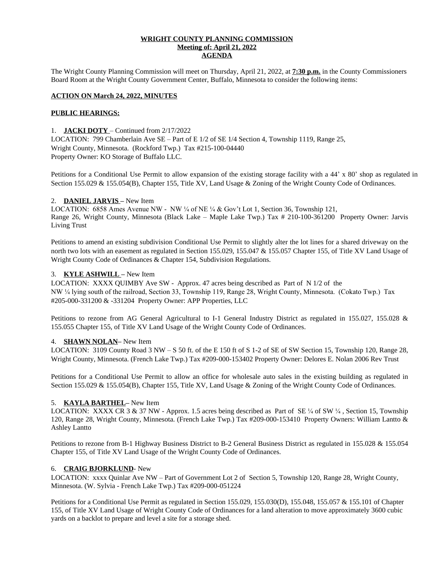#### **WRIGHT COUNTY PLANNING COMMISSION Meeting of: April 21, 2022 AGENDA**

The Wright County Planning Commission will meet on Thursday, April 21, 2022, at **7:30 p.m.** in the County Commissioners Board Room at the Wright County Government Center, Buffalo, Minnesota to consider the following items:

## **ACTION ON March 24, 2022, MINUTES**

#### **PUBLIC HEARINGS:**

#### 1. **JACKI DOTY** – Continued from 2/17/2022

LOCATION: 799 Chamberlain Ave SE – Part of E 1/2 of SE 1/4 Section 4, Township 1119, Range 25, Wright County, Minnesota. (Rockford Twp.) Tax #215-100-04440 Property Owner: KO Storage of Buffalo LLC.

Petitions for a Conditional Use Permit to allow expansion of the existing storage facility with a 44' x 80' shop as regulated in Section 155.029 & 155.054(B), Chapter 155, Title XV, Land Usage & Zoning of the Wright County Code of Ordinances.

#### 2. **DANIEL JARVIS –** New Item

LOCATION: 6858 Ames Avenue NW - NW  $\frac{1}{4}$  of NE  $\frac{1}{4}$  & Gov't Lot 1, Section 36, Township 121, Range 26, Wright County, Minnesota (Black Lake – Maple Lake Twp.) Tax # 210-100-361200 Property Owner: Jarvis Living Trust

Petitions to amend an existing subdivision Conditional Use Permit to slightly alter the lot lines for a shared driveway on the north two lots with an easement as regulated in Section 155.029, 155.047 & 155.057 Chapter 155, of Title XV Land Usage of Wright County Code of Ordinances & Chapter 154, Subdivision Regulations.

## 3. **KYLE ASHWILL –** New Item

LOCATION: XXXX QUIMBY Ave SW - Approx. 47 acres being described as Part of N 1/2 of the NW ¼ lying south of the railroad, Section 33, Township 119, Range 28, Wright County, Minnesota. (Cokato Twp.) Tax #205-000-331200 & -331204 Property Owner: APP Properties, LLC

Petitions to rezone from AG General Agricultural to I-1 General Industry District as regulated in 155.027, 155.028 & 155.055 Chapter 155, of Title XV Land Usage of the Wright County Code of Ordinances.

#### 4. **SHAWN NOLAN–** New Item

LOCATION: 3109 County Road 3 NW – S 50 ft. of the E 150 ft of S 1-2 of SE of SW Section 15, Township 120, Range 28, Wright County, Minnesota. (French Lake Twp.) Tax #209-000-153402 Property Owner: Delores E. Nolan 2006 Rev Trust

Petitions for a Conditional Use Permit to allow an office for wholesale auto sales in the existing building as regulated in Section 155.029 & 155.054(B), Chapter 155, Title XV, Land Usage & Zoning of the Wright County Code of Ordinances.

#### 5. **KAYLA BARTHEL–** New Item

LOCATION: XXXX CR 3 & 37 NW - Approx. 1.5 acres being described as Part of SE ¼ of SW ¼, Section 15, Township 120, Range 28, Wright County, Minnesota. (French Lake Twp.) Tax #209-000-153410 Property Owners: William Lantto & Ashley Lantto

Petitions to rezone from B-1 Highway Business District to B-2 General Business District as regulated in 155.028 & 155.054 Chapter 155, of Title XV Land Usage of the Wright County Code of Ordinances.

#### 6. **CRAIG BJORKLUND**- New

LOCATION: xxxx Quinlar Ave NW – Part of Government Lot 2 of Section 5, Township 120, Range 28, Wright County, Minnesota. (W. Sylvia - French Lake Twp.) Tax #209-000-051224

Petitions for a Conditional Use Permit as regulated in Section 155.029, 155.030(D), 155.048, 155.057 & 155.101 of Chapter 155, of Title XV Land Usage of Wright County Code of Ordinances for a land alteration to move approximately 3600 cubic yards on a backlot to prepare and level a site for a storage shed.